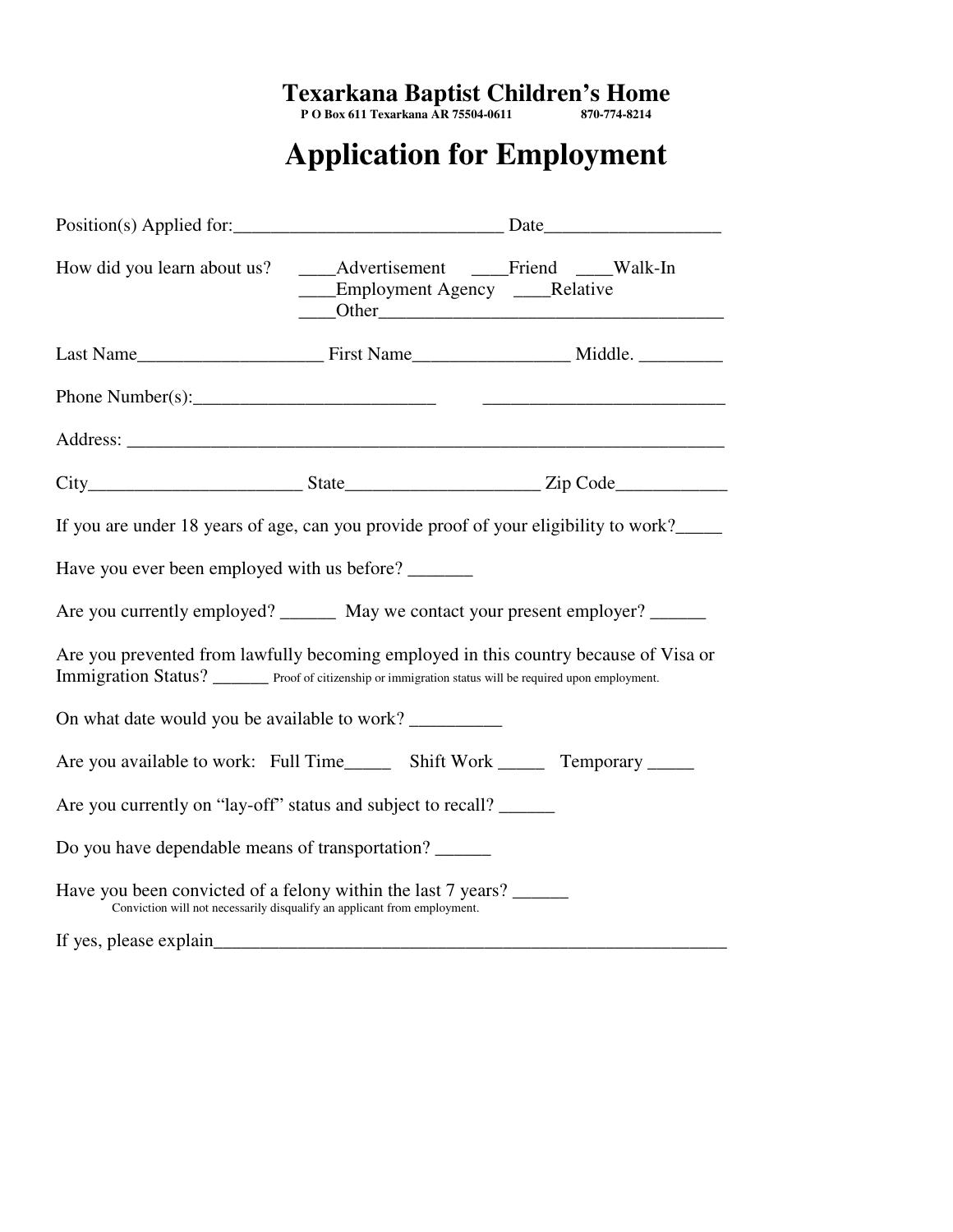#### **Texarkana Baptist Children's Home**

**P O Box 611 Texarkana AR 75504-0611 870-774-8214** 

# **Application for Employment**

|                                                                                                                                                                                                  |                                                                          | Position(s) Applied for: 2000 and 2000 and 2000 and 2000 and 2000 and 2000 and 2000 and 2000 and 2000 and 2000 |  |  |  |
|--------------------------------------------------------------------------------------------------------------------------------------------------------------------------------------------------|--------------------------------------------------------------------------|----------------------------------------------------------------------------------------------------------------|--|--|--|
| How did you learn about us? _____Advertisement _____Friend _____Walk-In                                                                                                                          | ____Employment Agency ____Relative                                       |                                                                                                                |  |  |  |
|                                                                                                                                                                                                  |                                                                          |                                                                                                                |  |  |  |
|                                                                                                                                                                                                  |                                                                          |                                                                                                                |  |  |  |
|                                                                                                                                                                                                  |                                                                          |                                                                                                                |  |  |  |
| $City$ $City$ $State$ $State$ $Zip Code$                                                                                                                                                         |                                                                          |                                                                                                                |  |  |  |
| If you are under 18 years of age, can you provide proof of your eligibility to work?                                                                                                             |                                                                          |                                                                                                                |  |  |  |
| Have you ever been employed with us before?                                                                                                                                                      |                                                                          |                                                                                                                |  |  |  |
| Are you currently employed? ________ May we contact your present employer? ______                                                                                                                |                                                                          |                                                                                                                |  |  |  |
| Are you prevented from lawfully becoming employed in this country because of Visa or<br>Immigration Status? _______ Proof of citizenship or immigration status will be required upon employment. |                                                                          |                                                                                                                |  |  |  |
| On what date would you be available to work?                                                                                                                                                     |                                                                          |                                                                                                                |  |  |  |
| Are you available to work: Full Time________ Shift Work ________ Temporary ______                                                                                                                |                                                                          |                                                                                                                |  |  |  |
| Are you currently on "lay-off" status and subject to recall?                                                                                                                                     |                                                                          |                                                                                                                |  |  |  |
| Do you have dependable means of transportation?                                                                                                                                                  |                                                                          |                                                                                                                |  |  |  |
| Have you been convicted of a felony within the last 7 years?                                                                                                                                     | Conviction will not necessarily disqualify an applicant from employment. |                                                                                                                |  |  |  |
| If yes, please explain                                                                                                                                                                           |                                                                          |                                                                                                                |  |  |  |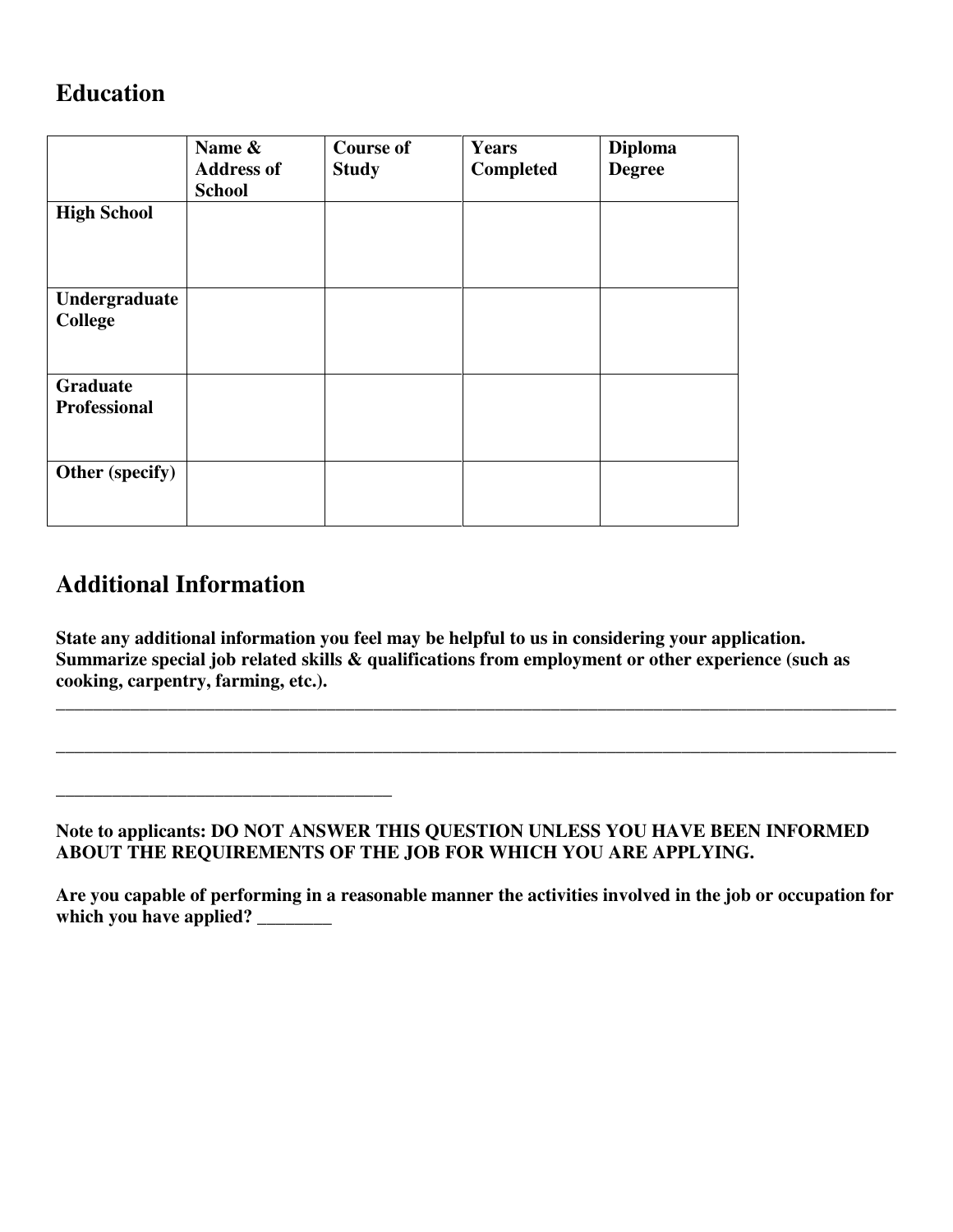#### **Education**

|                                 | Name &<br><b>Address of</b><br><b>School</b> | <b>Course of</b><br><b>Study</b> | <b>Years</b><br>Completed | <b>Diploma</b><br><b>Degree</b> |
|---------------------------------|----------------------------------------------|----------------------------------|---------------------------|---------------------------------|
| <b>High School</b>              |                                              |                                  |                           |                                 |
| Undergraduate<br><b>College</b> |                                              |                                  |                           |                                 |
| Graduate<br><b>Professional</b> |                                              |                                  |                           |                                 |
| Other (specify)                 |                                              |                                  |                           |                                 |

## **Additional Information**

**\_\_\_\_\_\_\_\_\_\_\_\_\_\_\_\_\_\_\_\_\_\_\_\_\_\_\_\_\_\_\_\_\_\_\_\_** 

**State any additional information you feel may be helpful to us in considering your application. Summarize special job related skills & qualifications from employment or other experience (such as cooking, carpentry, farming, etc.).** 

**\_\_\_\_\_\_\_\_\_\_\_\_\_\_\_\_\_\_\_\_\_\_\_\_\_\_\_\_\_\_\_\_\_\_\_\_\_\_\_\_\_\_\_\_\_\_\_\_\_\_\_\_\_\_\_\_\_\_\_\_\_\_\_\_\_\_\_\_\_\_\_\_\_\_\_\_\_\_\_\_\_\_\_\_\_\_\_\_\_\_**

**\_\_\_\_\_\_\_\_\_\_\_\_\_\_\_\_\_\_\_\_\_\_\_\_\_\_\_\_\_\_\_\_\_\_\_\_\_\_\_\_\_\_\_\_\_\_\_\_\_\_\_\_\_\_\_\_\_\_\_\_\_\_\_\_\_\_\_\_\_\_\_\_\_\_\_\_\_\_\_\_\_\_\_\_\_\_\_\_\_\_**

**Note to applicants: DO NOT ANSWER THIS QUESTION UNLESS YOU HAVE BEEN INFORMED ABOUT THE REQUIREMENTS OF THE JOB FOR WHICH YOU ARE APPLYING.** 

**Are you capable of performing in a reasonable manner the activities involved in the job or occupation for**  which you have applied? \_\_\_\_\_\_\_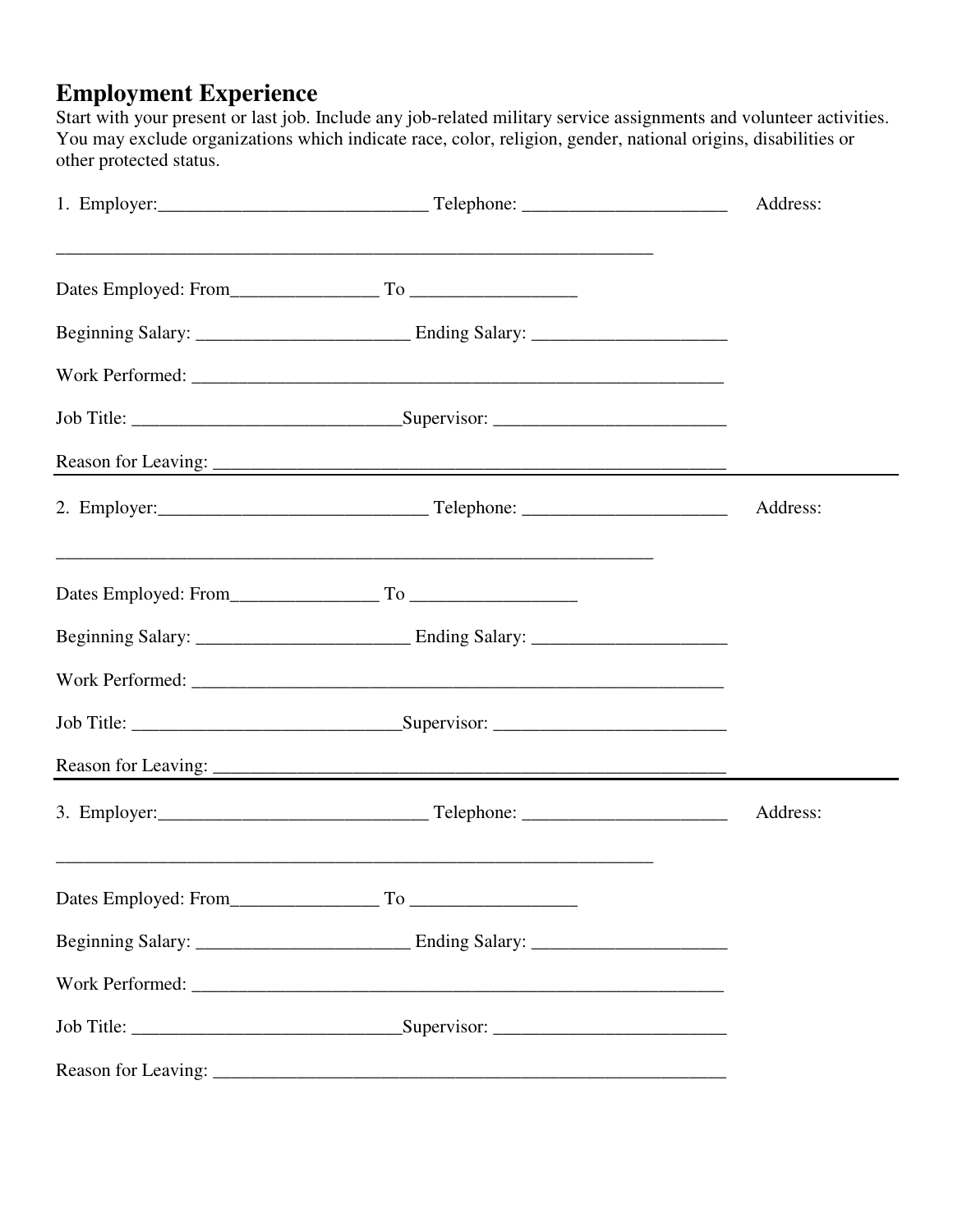### **Employment Experience**

Start with your present or last job. Include any job-related military service assignments and volunteer activities. You may exclude organizations which indicate race, color, religion, gender, national origins, disabilities or other protected status.

|  |  | Address: |
|--|--|----------|
|  |  |          |
|  |  |          |
|  |  |          |
|  |  |          |
|  |  |          |
|  |  | Address: |
|  |  |          |
|  |  |          |
|  |  |          |
|  |  |          |
|  |  |          |
|  |  | Address: |
|  |  |          |
|  |  |          |
|  |  |          |
|  |  |          |
|  |  |          |